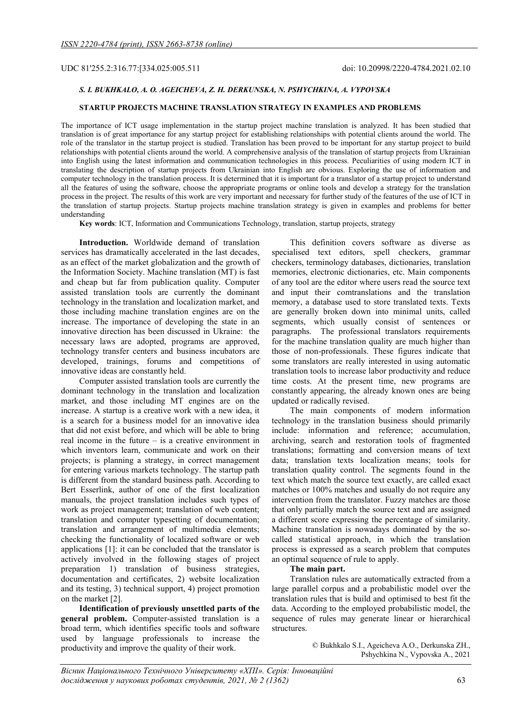UDC 81'255.2:316.77:[334.025:005.511 doi: 10.20998/2220-4784.2021.02.10

# S. I. BUKHKALO, A. O. AGEICHEVA, Z. H. DERKUNSKA, N. PSHYCHKINA, A. VYPOVSKA

## STARTUP PROJECTS MACHINE TRANSLATION STRATEGY IN EXAMPLES AND PROBLEMS

The importance of ICT usage implementation in the startup project machine translation is analyzed. It has been studied that translation is of great importance for any startup project for establishing relationships with potential clients around the world. The role of the translator in the startup project is studied. Translation has been proved to be important for any startup project to build relationships with potential clients around the world. A comprehensive analysis of the translation of startup projects from Ukrainian into English using the latest information and communication technologies in this process. Peculiarities of using modern ICT in translating the description of startup projects from Ukrainian into English are obvious. Exploring the use of information and computer technology in the translation process. It is determined that it is important for a translator of a startup project to understand all the features of using the software, choose the appropriate programs or online tools and develop a strategy for the translation process in the project. The results of this work are very important and necessary for further study of the features of the use of ICT in the translation of startup projects. Startup projects machine translation strategy is given in examples and problems for better understanding

Key words: ICT, Information and Communications Technology, translation, startup projects, strategy

Introduction. Worldwide demand of translation services has dramatically accelerated in the last decades, as an effect of the market globalization and the growth of the Information Society. Machine translation (MT) is fast and cheap but far from publication quality. Computer assisted translation tools are currently the dominant technology in the translation and localization market, and those including machine translation engines are on the increase. The importance of developing the state in an innovative direction has been discussed in Ukraine: the necessary laws are adopted, programs are approved, technology transfer centers and business incubators are developed, trainings, forums and competitions of innovative ideas are constantly held.

Computer assisted translation tools are currently the dominant technology in the translation and localization market, and those including MT engines are on the increase. A startup is a creative work with a new idea, it is a search for a business model for an innovative idea that did not exist before, and which will be able to bring real income in the future – is a creative environment in which inventors learn, communicate and work on their projects; is planning a strategy, in correct management for entering various markets technology. The startup path is different from the standard business path. According to Bert Esserlink, author of one of the first localization manuals, the project translation includes such types of work as project management; translation of web content; translation and computer typesetting of documentation; translation and arrangement of multimedia elements; checking the functionality of localized software or web applications [1]: it can be concluded that the translator is actively involved in the following stages of project preparation 1) translation of business strategies, documentation and certificates, 2) website localization and its testing, 3) technical support, 4) project promotion on the market [2].

Identification of previously unsettled parts of the general problem. Computer-assisted translation is a broad term, which identifies specific tools and software used by language professionals to increase the productivity and improve the quality of their work.

This definition covers software as diverse as specialised text editors, spell checkers, grammar checkers, terminology databases, dictionaries, translation memories, electronic dictionaries, etc. Main components of any tool are the editor where users read the source text and input their comtranslations and the translation memory, a database used to store translated texts. Texts are generally broken down into minimal units, called segments, which usually consist of sentences or paragraphs. The professional translators requirements for the machine translation quality are much higher than those of non-professionals. These figures indicate that some translators are really interested in using automatic translation tools to increase labor productivity and reduce time costs. At the present time, new programs are constantly appearing, the already known ones are being updated or radically revised.

The main components of modern information technology in the translation business should primarily include: information and reference; accumulation, archiving, search and restoration tools of fragmented translations; formatting and conversion means of text data; translation texts localization means; tools for translation quality control. The segments found in the text which match the source text exactly, are called exact matches or 100% matches and usually do not require any intervention from the translator. Fuzzy matches are those that only partially match the source text and are assigned a different score expressing the percentage of similarity. Machine translation is nowadays dominated by the socalled statistical approach, in which the translation process is expressed as a search problem that computes an optimal sequence of rule to apply.

### The main part.

Translation rules are automatically extracted from a large parallel corpus and a probabilistic model over the translation rules that is build and optimised to best fit the data. According to the employed probabilistic model, the sequence of rules may generate linear or hierarchical structures.

> © Bukhkalo S.I., Ageicheva A.O., Derkunska ZH., Pshychkina N., Vypovska A., 2021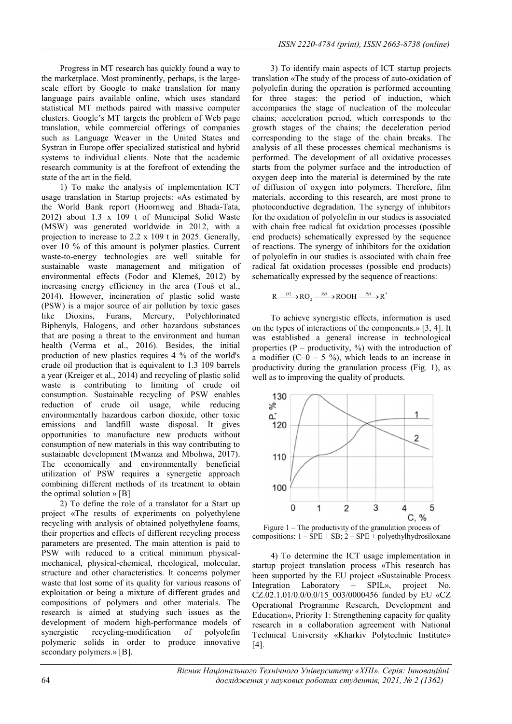Progress in MT research has quickly found a way to the marketplace. Most prominently, perhaps, is the largescale effort by Google to make translation for many language pairs available online, which uses standard statistical MT methods paired with massive computer clusters. Google's MT targets the problem of Web page translation, while commercial offerings of companies such as Language Weaver in the United States and Systran in Europe offer specialized statistical and hybrid systems to individual clients. Note that the academic research community is at the forefront of extending the state of the art in the field.

1) To make the analysis of implementation ICT usage translation in Startup projects: «As estimated by the World Bank report (Hoornweg and Bhada-Tata, 2012) about 1.3 x 109 t of Municipal Solid Waste (MSW) was generated worldwide in 2012, with a projection to increase to 2.2 x 109 t in 2025. Generally, over 10 % of this amount is polymer plastics. Current waste-to-energy technologies are well suitable for sustainable waste management and mitigation of environmental effects (Fodor and Klemeš, 2012) by increasing energy efficiency in the area (Touš et al., 2014). However, incineration of plastic solid waste (PSW) is a major source of air pollution by toxic gases like Dioxins, Furans, Mercury, Polychlorinated Biphenyls, Halogens, and other hazardous substances that are posing a threat to the environment and human health (Verma et al., 2016). Besides, the initial production of new plastics requires 4 % of the world's crude oil production that is equivalent to 1.3 109 barrels a year (Kreiger et al., 2014) and recycling of plastic solid waste is contributing to limiting of crude oil consumption. Sustainable recycling of PSW enables reduction of crude oil usage, while reducing environmentally hazardous carbon dioxide, other toxic emissions and landfill waste disposal. It gives opportunities to manufacture new products without consumption of new materials in this way contributing to sustainable development (Mwanza and Mbohwa, 2017). The economically and environmentally beneficial utilization of PSW requires a synergetic approach combining different methods of its treatment to obtain the optimal solution  $\mathcal{P}[B]$ 

2) To define the role of a translator for a Start up project «The results of experiments on polyethylene recycling with analysis of obtained polyethylene foams, their properties and effects of different recycling process parameters are presented. The main attention is paid to PSW with reduced to a critical minimum physicalmechanical, physical-chemical, rheological, molecular, structure and other characteristics. It concerns polymer waste that lost some of its quality for various reasons of exploitation or being a mixture of different grades and compositions of polymers and other materials. The research is aimed at studying such issues as the development of modern high-performance models of synergistic recycling-modification of polyolefin polymeric solids in order to produce innovative secondary polymers.» [B].

3) To identify main aspects of ICT startup projects translation «The study of the process of auto-oxidation of polyolefin during the operation is performed accounting for three stages: the period of induction, which accompanies the stage of nucleation of the molecular chains; acceleration period, which corresponds to the growth stages of the chains; the deceleration period corresponding to the stage of the chain breaks. The analysis of all these processes chemical mechanisms is performed. The development of all oxidative processes starts from the polymer surface and the introduction of oxygen deep into the material is determined by the rate of diffusion of oxygen into polymers. Therefore, film materials, according to this research, are most prone to photoconductive degradation. The synergy of inhibitors for the oxidation of polyolefin in our studies is associated with chain free radical fat oxidation processes (possible end products) schematically expressed by the sequence of reactions. The synergy of inhibitors for the oxidation of polyolefin in our studies is associated with chain free radical fat oxidation processes (possible end products) schematically expressed by the sequence of reactions:

$$
R \xrightarrow{O2} \text{RO}_2 \xrightarrow{RH} \text{ROOH} \xrightarrow{RH} R^*
$$

To achieve synergistic effects, information is used on the types of interactions of the components.» [3, 4]. It was established a general increase in technological properties  $(P - \text{productivity}, %)$  with the introduction of a modifier  $(C-0 - 5 \%)$ , which leads to an increase in productivity during the granulation process (Fig. 1), as well as to improving the quality of products.



Figure 1 – The productivity of the granulation process of compositions:  $1 - SPE + SB$ ;  $2 - SPE + polyethylhydrosiloxane$ 

4) To determine the ICT usage implementation in startup project translation process «This research has been supported by the EU project «Sustainable Process Integration Laboratory – SPIL», project No. CZ.02.1.01/0.0/0.0/15\_003/0000456 funded by EU «CZ Operational Programme Research, Development and Education», Priority 1: Strengthening capacity for quality research in a collaboration agreement with National Technical University «Kharkiv Polytechnic Institute» [4].

 Вісник Національного Технічного Університету «ХПІ». Серія: Інноваційні 64 дослідження у наукових роботах студентів, 2021, № 2 (1362)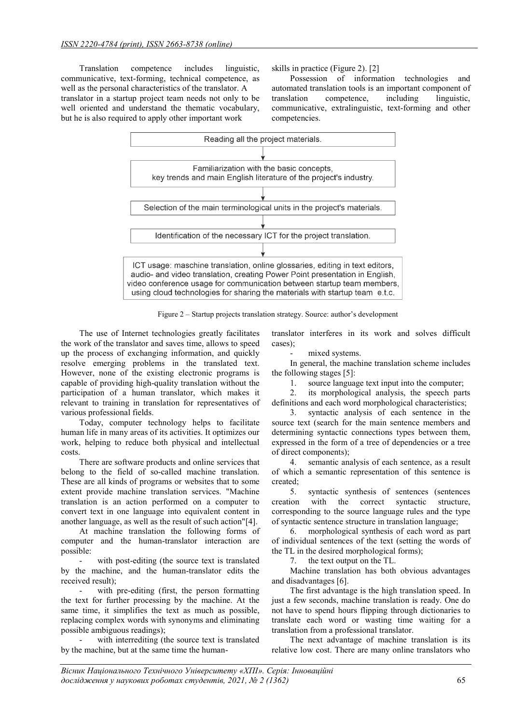Translation competence includes linguistic, communicative, text-forming, technical competence, as well as the personal characteristics of the translator. A translator in a startup project team needs not only to be well oriented and understand the thematic vocabulary, but he is also required to apply other important work

skills in practice (Figure 2). [2]

Possession of information technologies and automated translation tools is an important component of translation competence, including linguistic, communicative, extralinguistic, text-forming and other competencies.



Figure 2 – Startup projects translation strategy. Source: author's development

The use of Internet technologies greatly facilitates the work of the translator and saves time, allows to speed up the process of exchanging information, and quickly resolve emerging problems in the translated text. However, none of the existing electronic programs is capable of providing high-quality translation without the participation of a human translator, which makes it relevant to training in translation for representatives of various professional fields.

Today, computer technology helps to facilitate human life in many areas of its activities. It optimizes our work, helping to reduce both physical and intellectual costs.

There are software products and online services that belong to the field of so-called machine translation. These are all kinds of programs or websites that to some extent provide machine translation services. "Machine translation is an action performed on a computer to convert text in one language into equivalent content in another language, as well as the result of such action"[4].

At machine translation the following forms of computer and the human-translator interaction are possible:

with post-editing (the source text is translated by the machine, and the human-translator edits the received result);

with pre-editing (first, the person formatting the text for further processing by the machine. At the same time, it simplifies the text as much as possible, replacing complex words with synonyms and eliminating possible ambiguous readings);

with interrediting (the source text is translated by the machine, but at the same time the humantranslator interferes in its work and solves difficult cases);

mixed systems.

In general, the machine translation scheme includes the following stages [5]:

1. source language text input into the computer;

2. its morphological analysis, the speech parts definitions and each word morphological characteristics;

3. syntactic analysis of each sentence in the source text (search for the main sentence members and determining syntactic connections types between them, expressed in the form of a tree of dependencies or a tree of direct components);

4. semantic analysis of each sentence, as a result of which a semantic representation of this sentence is created;

5. syntactic synthesis of sentences (sentences creation with the correct syntactic structure, corresponding to the source language rules and the type of syntactic sentence structure in translation language;

6. morphological synthesis of each word as part of individual sentences of the text (setting the words of the TL in the desired morphological forms);

7. the text output on the TL.

Machine translation has both obvious advantages and disadvantages [6].

The first advantage is the high translation speed. In just a few seconds, machine translation is ready. One do not have to spend hours flipping through dictionaries to translate each word or wasting time waiting for a translation from a professional translator.

The next advantage of machine translation is its relative low cost. There are many online translators who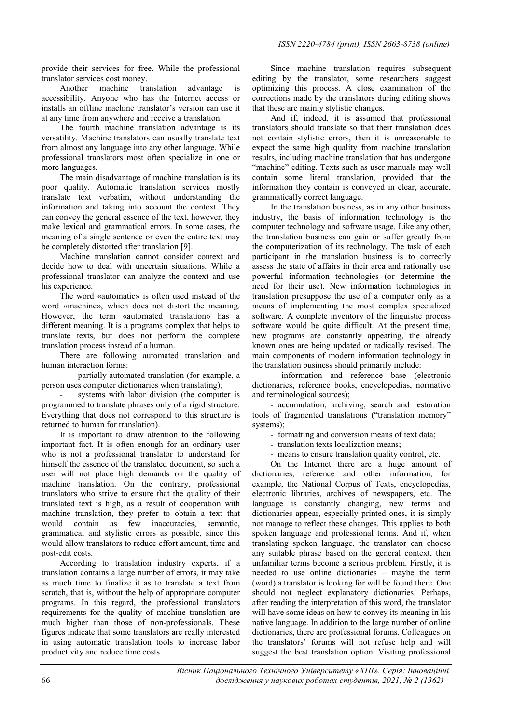provide their services for free. While the professional translator services cost money.

Another machine translation advantage is accessibility. Anyone who has the Internet access or installs an offline machine translator's version can use it at any time from anywhere and receive a translation.

The fourth machine translation advantage is its versatility. Machine translators can usually translate text from almost any language into any other language. While professional translators most often specialize in one or more languages.

The main disadvantage of machine translation is its poor quality. Automatic translation services mostly translate text verbatim, without understanding the information and taking into account the context. They can convey the general essence of the text, however, they make lexical and grammatical errors. In some cases, the meaning of a single sentence or even the entire text may be completely distorted after translation [9].

Machine translation cannot consider context and decide how to deal with uncertain situations. While a professional translator can analyze the context and use his experience.

The word «automatic» is often used instead of the word «machine», which does not distort the meaning. However, the term «automated translation» has a different meaning. It is a programs complex that helps to translate texts, but does not perform the complete translation process instead of a human.

There are following automated translation and human interaction forms:

partially automated translation (for example, a person uses computer dictionaries when translating);

systems with labor division (the computer is programmed to translate phrases only of a rigid structure. Everything that does not correspond to this structure is returned to human for translation).

It is important to draw attention to the following important fact. It is often enough for an ordinary user who is not a professional translator to understand for himself the essence of the translated document, so such a user will not place high demands on the quality of machine translation. On the contrary, professional translators who strive to ensure that the quality of their translated text is high, as a result of cooperation with machine translation, they prefer to obtain a text that would contain as few inaccuracies, semantic, grammatical and stylistic errors as possible, since this would allow translators to reduce effort amount, time and post-edit costs.

According to translation industry experts, if a translation contains a large number of errors, it may take as much time to finalize it as to translate a text from scratch, that is, without the help of appropriate computer programs. In this regard, the professional translators requirements for the quality of machine translation are much higher than those of non-professionals. These figures indicate that some translators are really interested in using automatic translation tools to increase labor productivity and reduce time costs.

Since machine translation requires subsequent editing by the translator, some researchers suggest optimizing this process. A close examination of the corrections made by the translators during editing shows that these are mainly stylistic changes.

And if, indeed, it is assumed that professional translators should translate so that their translation does not contain stylistic errors, then it is unreasonable to expect the same high quality from machine translation results, including machine translation that has undergone "machine" editing. Texts such as user manuals may well contain some literal translation, provided that the information they contain is conveyed in clear, accurate, grammatically correct language.

In the translation business, as in any other business industry, the basis of information technology is the computer technology and software usage. Like any other, the translation business can gain or suffer greatly from the computerization of its technology. The task of each participant in the translation business is to correctly assess the state of affairs in their area and rationally use powerful information technologies (or determine the need for their use). New information technologies in translation presuppose the use of a computer only as a means of implementing the most complex specialized software. A complete inventory of the linguistic process software would be quite difficult. At the present time, new programs are constantly appearing, the already known ones are being updated or radically revised. The main components of modern information technology in the translation business should primarily include:

- information and reference base (electronic dictionaries, reference books, encyclopedias, normative and terminological sources);

- accumulation, archiving, search and restoration tools of fragmented translations ("translation memory" systems);

- formatting and conversion means of text data;

- translation texts localization means;

- means to ensure translation quality control, etc.

On the Internet there are a huge amount of dictionaries, reference and other information, for example, the National Corpus of Texts, encyclopedias, electronic libraries, archives of newspapers, etc. The language is constantly changing, new terms and dictionaries appear, especially printed ones, it is simply not manage to reflect these changes. This applies to both spoken language and professional terms. And if, when translating spoken language, the translator can choose any suitable phrase based on the general context, then unfamiliar terms become a serious problem. Firstly, it is needed to use online dictionaries – maybe the term (word) a translator is looking for will be found there. One should not neglect explanatory dictionaries. Perhaps, after reading the interpretation of this word, the translator will have some ideas on how to convey its meaning in his native language. In addition to the large number of online dictionaries, there are professional forums. Colleagues on the translators' forums will not refuse help and will suggest the best translation option. Visiting professional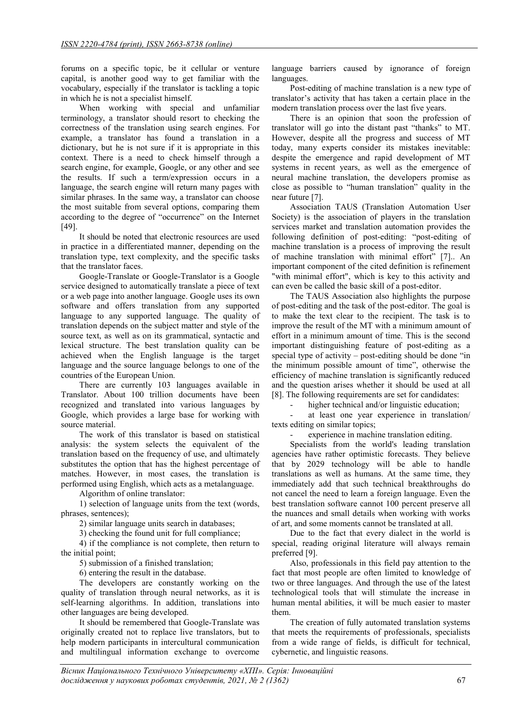forums on a specific topic, be it cellular or venture capital, is another good way to get familiar with the vocabulary, especially if the translator is tackling a topic in which he is not a specialist himself.

When working with special and unfamiliar terminology, a translator should resort to checking the correctness of the translation using search engines. For example, a translator has found a translation in a dictionary, but he is not sure if it is appropriate in this context. There is a need to check himself through a search engine, for example, Google, or any other and see the results. If such a term/expression occurs in a language, the search engine will return many pages with similar phrases. In the same way, a translator can choose the most suitable from several options, comparing them according to the degree of "occurrence" on the Internet [49].

It should be noted that electronic resources are used in practice in a differentiated manner, depending on the translation type, text complexity, and the specific tasks that the translator faces.

Google-Translate or Google-Translator is a Google service designed to automatically translate a piece of text or a web page into another language. Google uses its own software and offers translation from any supported language to any supported language. The quality of translation depends on the subject matter and style of the source text, as well as on its grammatical, syntactic and lexical structure. The best translation quality can be achieved when the English language is the target language and the source language belongs to one of the countries of the European Union.

There are currently 103 languages available in Translator. About 100 trillion documents have been recognized and translated into various languages by Google, which provides a large base for working with source material.

The work of this translator is based on statistical analysis: the system selects the equivalent of the translation based on the frequency of use, and ultimately substitutes the option that has the highest percentage of matches. However, in most cases, the translation is performed using English, which acts as a metalanguage.

Algorithm of online translator:

1) selection of language units from the text (words, phrases, sentences);

2) similar language units search in databases;

3) checking the found unit for full compliance;

4) if the compliance is not complete, then return to the initial point;

5) submission of a finished translation;

6) entering the result in the database.

The developers are constantly working on the quality of translation through neural networks, as it is self-learning algorithms. In addition, translations into other languages are being developed.

It should be remembered that Google-Translate was originally created not to replace live translators, but to help modern participants in intercultural communication and multilingual information exchange to overcome

language barriers caused by ignorance of foreign languages.

Post-editing of machine translation is a new type of translator's activity that has taken a certain place in the modern translation process over the last five years.

There is an opinion that soon the profession of translator will go into the distant past "thanks" to MT. However, despite all the progress and success of MT today, many experts consider its mistakes inevitable: despite the emergence and rapid development of MT systems in recent years, as well as the emergence of neural machine translation, the developers promise as close as possible to "human translation" quality in the near future [7].

Association TAUS (Translation Automation User Society) is the association of players in the translation services market and translation automation provides the following definition of post-editing: "post-editing of machine translation is a process of improving the result of machine translation with minimal effort" [7].. An important component of the cited definition is refinement "with minimal effort", which is key to this activity and can even be called the basic skill of a post-editor.

The TAUS Association also highlights the purpose of post-editing and the task of the post-editor. The goal is to make the text clear to the recipient. The task is to improve the result of the MT with a minimum amount of effort in a minimum amount of time. This is the second important distinguishing feature of post-editing as a special type of activity – post-editing should be done "in the minimum possible amount of time", otherwise the efficiency of machine translation is significantly reduced and the question arises whether it should be used at all [8]. The following requirements are set for candidates:

higher technical and/or linguistic education;

at least one year experience in translation/ texts editing on similar topics;

experience in machine translation editing.

Specialists from the world's leading translation agencies have rather optimistic forecasts. They believe that by 2029 technology will be able to handle translations as well as humans. At the same time, they immediately add that such technical breakthroughs do not cancel the need to learn a foreign language. Even the best translation software cannot 100 percent preserve all the nuances and small details when working with works of art, and some moments cannot be translated at all.

Due to the fact that every dialect in the world is special, reading original literature will always remain preferred [9].

Also, professionals in this field pay attention to the fact that most people are often limited to knowledge of two or three languages. And through the use of the latest technological tools that will stimulate the increase in human mental abilities, it will be much easier to master them.

The creation of fully automated translation systems that meets the requirements of professionals, specialists from a wide range of fields, is difficult for technical, cybernetic, and linguistic reasons.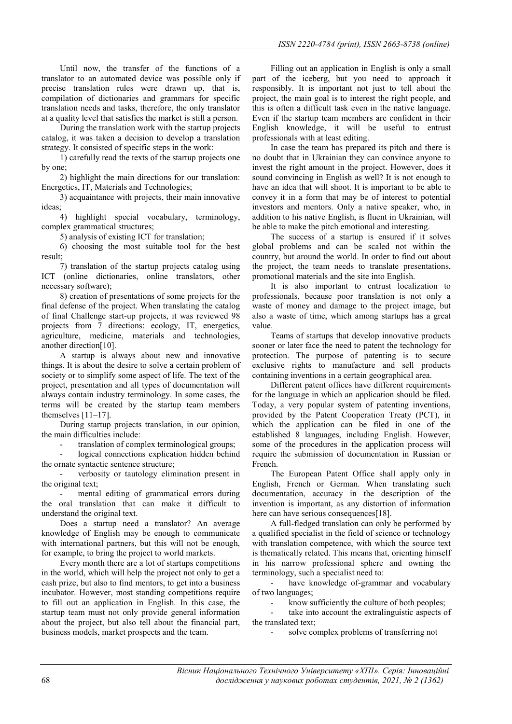Until now, the transfer of the functions of a translator to an automated device was possible only if precise translation rules were drawn up, that is, compilation of dictionaries and grammars for specific translation needs and tasks, therefore, the only translator at a quality level that satisfies the market is still a person.

During the translation work with the startup projects catalog, it was taken a decision to develop a translation strategy. It consisted of specific steps in the work:

1) carefully read the texts of the startup projects one by one;

2) highlight the main directions for our translation: Energetics, IT, Materials and Technologies;

3) acquaintance with projects, their main innovative ideas;

4) highlight special vocabulary, terminology, complex grammatical structures;

5) analysis of existing ICT for translation;

6) choosing the most suitable tool for the best result;

7) translation of the startup projects catalog using ICT (online dictionaries, online translators, other necessary software);

8) creation of presentations of some projects for the final defense of the project. When translating the catalog of final Challenge start-up projects, it was reviewed 98 projects from 7 directions: ecology, IT, energetics, agriculture, medicine, materials and technologies, another direction[10].

A startup is always about new and innovative things. It is about the desire to solve a certain problem of society or to simplify some aspect of life. The text of the project, presentation and all types of documentation will always contain industry terminology. In some cases, the terms will be created by the startup team members themselves [11–17].

During startup projects translation, in our opinion, the main difficulties include:

translation of complex terminological groups;

logical connections explication hidden behind the ornate syntactic sentence structure;

verbosity or tautology elimination present in the original text;

mental editing of grammatical errors during the oral translation that can make it difficult to understand the original text.

Does a startup need a translator? An average knowledge of English may be enough to communicate with international partners, but this will not be enough, for example, to bring the project to world markets.

Every month there are a lot of startups competitions in the world, which will help the project not only to get a cash prize, but also to find mentors, to get into a business incubator. However, most standing competitions require to fill out an application in English. In this case, the startup team must not only provide general information about the project, but also tell about the financial part, business models, market prospects and the team.

Filling out an application in English is only a small part of the iceberg, but you need to approach it responsibly. It is important not just to tell about the project, the main goal is to interest the right people, and this is often a difficult task even in the native language. Even if the startup team members are confident in their English knowledge, it will be useful to entrust professionals with at least editing.

In case the team has prepared its pitch and there is no doubt that in Ukrainian they can convince anyone to invest the right amount in the project. However, does it sound convincing in English as well? It is not enough to have an idea that will shoot. It is important to be able to convey it in a form that may be of interest to potential investors and mentors. Only a native speaker, who, in addition to his native English, is fluent in Ukrainian, will be able to make the pitch emotional and interesting.

The success of a startup is ensured if it solves global problems and can be scaled not within the country, but around the world. In order to find out about the project, the team needs to translate presentations, promotional materials and the site into English.

It is also important to entrust localization to professionals, because poor translation is not only a waste of money and damage to the project image, but also a waste of time, which among startups has a great value.

Teams of startups that develop innovative products sooner or later face the need to patent the technology for protection. The purpose of patenting is to secure exclusive rights to manufacture and sell products containing inventions in a certain geographical area.

Different patent offices have different requirements for the language in which an application should be filed. Today, a very popular system of patenting inventions, provided by the Patent Cooperation Treaty (PCT), in which the application can be filed in one of the established 8 languages, including English. However, some of the procedures in the application process will require the submission of documentation in Russian or French.

The European Patent Office shall apply only in English, French or German. When translating such documentation, accuracy in the description of the invention is important, as any distortion of information here can have serious consequences[18].

A full-fledged translation can only be performed by a qualified specialist in the field of science or technology with translation competence, with which the source text is thematically related. This means that, orienting himself in his narrow professional sphere and owning the terminology, such a specialist need to:

- have knowledge of-grammar and vocabulary of two languages;

know sufficiently the culture of both peoples;

take into account the extralinguistic aspects of the translated text;

solve complex problems of transferring not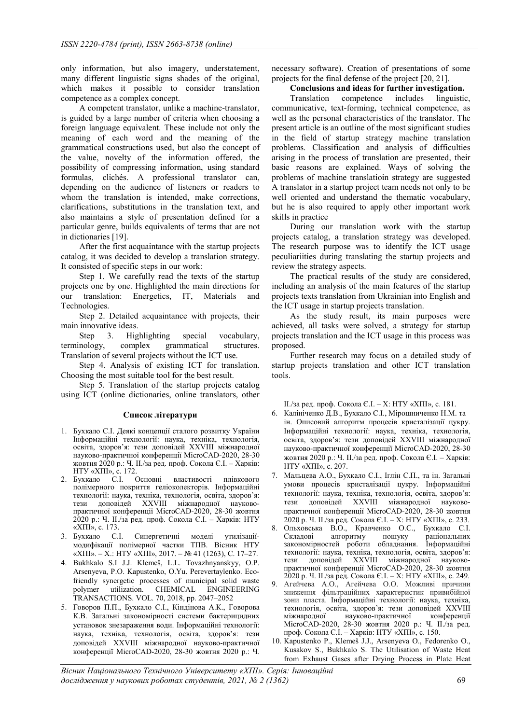only information, but also imagery, understatement, many different linguistic signs shades of the original, which makes it possible to consider translation competence as a complex concept.

A competent translator, unlike a machine-translator, is guided by a large number of criteria when choosing a foreign language equivalent. These include not only the meaning of each word and the meaning of the grammatical constructions used, but also the concept of the value, novelty of the information offered, the possibility of compressing information, using standard formulas, clichés. A professional translator can, depending on the audience of listeners or readers to whom the translation is intended, make corrections, clarifications, substitutions in the translation text, and also maintains a style of presentation defined for a particular genre, builds equivalents of terms that are not in dictionaries [19].

After the first acquaintance with the startup projects catalog, it was decided to develop a translation strategy. It consisted of specific steps in our work:

Step 1. We carefully read the texts of the startup projects one by one. Highlighted the main directions for our translation: Energetics, IT, Materials and Technologies.

Step 2. Detailed acquaintance with projects, their main innovative ideas.

Step 3. Highlighting special vocabulary, terminology, complex grammatical structures. Translation of several projects without the ICT use.

Step 4. Analysis of existing ICT for translation. Choosing the most suitable tool for the best result.

Step 5. Translation of the startup projects catalog using ICT (online dictionaries, online translators, other

# Список літератури

- 1. Бухкало С.І. Деякі концепції сталого розвитку України Інформаційні технології: наука, техніка, технологія, освіта, здоров'я: тези доповідей ХXVІІІ міжнародної науково-практичної конференції MicroCAD-2020, 28-30 жовтня 2020 р.: Ч. IІ./за ред. проф. Сокола Є.І. – Харків: НТУ «ХПІ», с. 172.
- 2. Бухкало С.І. Основні властивості плівкового полімерного покриття геліоколекторів. Інформаційні технології: наука, техніка, технологія, освіта, здоров'я: тези доповідей ХXVІІІ міжнародної науковопрактичної конференції MicroCAD-2020, 28-30 жовтня 2020 р.: Ч. IІ./за ред. проф. Сокола Є.І. – Харків: НТУ «ХПІ», с. 173.
- 3. Бухкало С.І. Синергетичні моделі утилізаціїмодифікації полімерної частки ТПВ. Вісник НТУ «ХПІ». – Х.: НТУ «ХПІ», 2017. – № 41 (1263), С. 17–27.
- 4. Bukhkalo S.I J.J. Klemeš, L.L. Tovazhnyanskyy, O.P. Arsenyeva, P.O. Kapustenko, O.Yu. Perevertaylenko. Ecofriendly synergetic processes of municipal solid waste<br>polymer utilization. CHEMICAL ENGINEERING utilization. CHEMICAL ENGINEERING TRANSACTIONS. VOL. 70, 2018, pp. 2047–2052
- 5. Говоров П.П., Бухкало С.І., Кіндінова А.К., Говорова К.В. Загальні закономірності системи бактерицидних установок знезараження води. Інформаційні технології: наука, техніка, технологія, освіта, здоров'я: тези доповідей ХXVІІІ міжнародної науково-практичної конференції MicroCAD-2020, 28-30 жовтня 2020 р.: Ч.

necessary software). Creation of presentations of some projects for the final defense of the project [20, 21].

## Conclusions and ideas for further investigation.

Translation competence includes linguistic, communicative, text-forming, technical competence, as well as the personal characteristics of the translator. The present article is an outline of the most significant studies in the field of startup strategy machine translation problems. Classification and analysis of difficulties arising in the process of translation are presented, their basic reasons are explained. Ways of solving the problems of machine translatioin strategy are suggested A translator in a startup project team needs not only to be well oriented and understand the thematic vocabulary, but he is also required to apply other important work skills in practice

During our translation work with the startup projects catalog, a translation strategy was developed. The research purpose was to identify the ICT usage peculiariities during translating the startup projects and review the strategy aspects.

The practical results of the study are considered, including an analysis of the main features of the startup projects texts translation from Ukrainian into English and the ICT usage in startup projects translation.

As the study result, its main purposes were achieved, all tasks were solved, a strategy for startup projects translation and the ICT usage in this process was proposed.

Further research may focus on a detailed study of startup projects translation and other ICT translation tools.

IІ./за ред. проф. Сокола Є.І. – Х: НТУ «ХПІ», с. 181.

- 6. Калініченко Д.В., Бухкало С.І., Мірошниченко Н.М. та ін. Описовий алгоритм процесів кристалізації цукру. Інформаційні технології: наука, техніка, технологія, освіта, здоров'я: тези доповідей ХXVІІІ міжнародної науково-практичної конференції MicroCAD-2020, 28-30 жовтня 2020 р.: Ч. IІ./за ред. проф. Сокола Є.І. – Харків: НТУ «ХПІ», с. 207.
- 7. Мальцева А.О., Бухкало С.І., Іглін С.П., та ін. Загальні умови процесів кристалізації цукру. Інформаційні технології: наука, техніка, технологія, освіта, здоров'я: тези доповідей ХXVІІІ міжнародної науковопрактичної конференції MicroCAD-2020, 28-30 жовтня 2020 р. Ч. IІ./за ред. Сокола Є.І. – Х: НТУ «ХПІ», с. 233.
- 8. Ольховська В.О., Кравченко О.С., Бухкало С.І. Складові алгоритму пошуку раціональних закономірностей роботи обладнання. Інформаційні технології: наука, техніка, технологія, освіта, здоров'я:<br>тези доповідей XXVIII міжнародної науковотези доповідей XXVIII міжнародної практичної конференції MicroCAD-2020, 28-30 жовтня 2020 р. Ч. IІ./за ред. Сокола Є.І. – Х: НТУ «ХПІ», с. 249.
- 9. Агейчева А.О., Агейчева О.О. Можливі причини зниження фільтраційних характеристик привибійної зони пласта. Інформаційні технології: наука, техніка, технологія, освіта, здоров'я: тези доповідей ХXVІІІ міжнародної науково-практичної конференції MicroCAD-2020, 28-30 жовтня 2020 р.: Ч. IІ./за ред. проф. Сокола Є.І. – Харків: НТУ «ХПІ», с. 150.
- 10. Kapustenko P., Klemeš J.J., Arsenyeva O., Fedorenko O., Kusakov S., Bukhkalo S. The Utilisation of Waste Heat from Exhaust Gases after Drying Process in Plate Heat

Вісник Національного Технічного Університету «ХПІ». Серія: Інноваційні дослідження у наукових роботах студентів, 2021, № 2 (1362) 69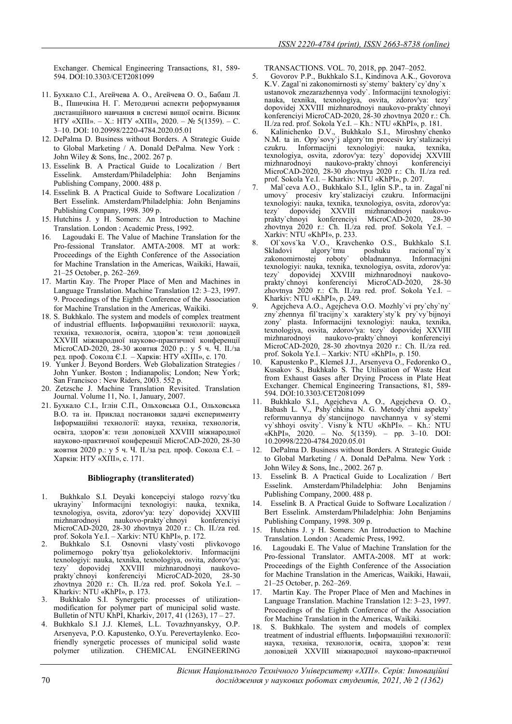Exchanger. Chemical Engineering Transactions, 81, 589- 594. DOI:10.3303/CET2081099

- 11. Бухкало С.І., Агейчева А. О., Агейчева О. О., Бабаш Л. В., Пшичкіна Н. Г. Методичні аспекти реформування дистанційного навчання в системі вищої освіти. Вісник НТУ «ХПІ». – Х.: НТУ «ХПІ», 2020. – № 5(1359). – С. 3–10. DOI: 10.20998/2220-4784.2020.05.01
- 12. DePalma D. Business without Borders. A Strategic Guide to Global Marketing / A. Donald DePalma. New York : John Wiley & Sons, Inc., 2002. 267 p.
- 13. Esselink B. A Practical Guide to Localization / Bert Esselink. Amsterdam/Philadelphia: John Benjamins Publishing Company, 2000. 488 p.
- 14. Esselink B. A Practical Guide to Software Localization / Bert Esselink. Amsterdam/Philadelphia: John Benjamins Publishing Company, 1998. 309 p.
- 15. Hutchins J. y H. Somers: An Introduction to Machine Translation. London : Academic Press, 1992.
- 16. Lagoudaki E. The Value of Machine Translation for the Pro-fessional Translator. AMTA-2008. MT at work: Proceedings of the Eighth Conference of the Association for Machine Translation in the Americas, Waikiki, Hawaii, 21–25 October, p. 262–269.
- 17. Martin Kay. The Proper Place of Men and Machines in Language Translation. Machine Translation 12: 3–23, 1997. 9. Proceedings of the Eighth Conference of the Association for Machine Translation in the Americas, Waikiki.
- 18. S. Bukhkalo. The system and models of complex treatment of industrial effluents. Інформаційні технології: наука, техніка, технологія, освіта, здоров'я: тези доповідей ХXVІІІ міжнародної науково-практичної конференції MicroCAD-2020, 28-30 жовтня 2020 р.: у 5 ч. Ч. IІ./за ред. проф. Сокола Є.І. – Харків: НТУ «ХПІ», с. 170.
- 19. Yunker J. Beyond Borders. Web Globalization Strategies / John Yunker. Boston ; Indianapolis; London; New York; San Francisco : New Riders, 2003. 552 p.
- 20. Zetzsche J. Machine Translation Revisited. Translation Journal. Volume 11, No. 1, January, 2007.
- 21. Бухкало С.І., Іглін С.П., Ольховська О.І., Ольховська В.О. та ін. Приклад постановки задачі експерименту Інформаційні технології: наука, техніка, технологія, освіта, здоров'я: тези доповідей ХXVІІІ міжнародної науково-практичної конференції MicroCAD-2020, 28-30 жовтня 2020 р.: у 5 ч. Ч. IІ./за ред. проф. Сокола Є.І. – Харків: НТУ «ХПІ», с. 171.

#### Bibliography (transliterated)

- 1. Bukhkalo S.I. Deyaki koncepciyi stalogo rozvy`tku ukrayiny` Informacijni texnologiyi: nauka, texnika, texnologiya, osvita, zdorov'ya: tezy` dopovidej XXVIII naukovo-prakty`chnoyi MicroCAD-2020, 28-30 zhovtnya 2020 r.: Ch. II./za red.
- prof. Sokola Ye.I. Xarkiv: NTU KhPI», p. 172. 2. Bukhkalo S.I. Osnovni vlasty`vosti plivkovogo polimernogo pokry`ttya geliokolektoriv. texnologiyi: nauka, texnika, texnologiya, osvita, zdorov'ya: tezy` dopovidej XXVIII mizhnarodnoyi naukovoprakty`chnoyi konferenciyi MicroCAD-2020, 28-30 zhovtnya 2020 r.: Ch. II./za red. prof. Sokola Ye.I. – Kharkiv: NTU «KhPI», p. 173.
- 3. Bukhkalo S.I. Synergetic processes of utilizationmodification for polymer part of municipal solid waste. Bulletin of NTU KhPI, Kharkiv, 2017, 41 (1263), 17 – 27.
- 4. Bukhkalo S.I J.J. Klemeš, L.L. Tovazhnyanskyy, O.P. Arsenyeva, P.O. Kapustenko, O.Yu. Perevertaylenko. Ecofriendly synergetic processes of municipal solid waste polymer utilization. CHEMICAL ENGINEERING

TRANSACTIONS. VOL. 70, 2018, pp. 2047–2052.

- 5. Govorov P.P., Bukhkalo S.I., Kindinova A.K., Govorova K.V. Zagal`ni zakonomirnosti sy`stemy` baktery`cy`dny`x ustanovok znezarazhennya vody`. Informacijni texnologiyi: nauka, texnika, texnologiya, osvita, zdorov'ya: tezy` dopovidej XXVIII mizhnarodnoyi naukovo-prakty`chnoyi konferenciyi MicroCAD-2020, 28-30 zhovtnya 2020 r.: Ch. II./za red. prof. Sokola Ye.I. – Kh.: NTU «KhPI», p. 181.
- 6. Kalinichenko D.V., Bukhkalo S.I., Miroshny`chenko N.M. ta in. Opy`sovy`j algory`tm procesiv kry`stalizaciyi czukru. Informacijni texnologiyi: nauka, texnika, texnologiya, osvita, zdorov'ya: tezy` dopovidej XXVIII mizhnarodnoyi naukovo-prakty`chnoyi konferenciyi MicroCAD-2020, 28-30 zhovtnya 2020 r.: Ch. II./za red. prof. Sokola Ye.I. – Kharkiv: NTU «KhPI», p. 207.
- 7. Mal`ceva A.O., Bukhkalo S.I., Iglin S.P., ta in. Zagal`ni umovy` procesiv kry`stalizaciyi czukru. Informacijni texnologiyi: nauka, texnika, texnologiya, osvita, zdorov'ya: tezy` dopovidej XXVIII mizhnarodnoyi naukovoprakty`chnoyi konferenciyi MicroCAD-2020, 28-30 zhovtnya 2020 r.: Ch. II./za red. prof. Sokola Ye.I. – Xarkiv: NTU «KhPI», p. 233.
- 8. Ol'xovs'ka V.O., Kravchenko O.S., Bukhkalo S.I.<br>Skladovi algory'tmu poshuku racional'ny'x poshuku racional`ny`x<br>obladnannya Informaciini zakonomirnostej roboty` texnologiyi: nauka, texnika, texnologiya, osvita, zdorov'ya: tezy` dopovidej XXVIII mizhnarodnoyi naukovoprakty`chnovi konferencivi zhovtnya 2020 r.: Ch. II./za red. prof. Sokola Ye.I. – Kharkiv: NTU «KhPI», p. 249.
- 9. Agejcheva A.O., Agejcheva O.O. Mozhly`vi pry`chy`ny` zny`zhennya fil`tracijny`x xaraktery`sty`k pry`vy`bijnoyi zony` plasta. Informacijni texnologiyi: nauka, texnika, texnologiya, osvita, zdorov'ya: tezy` dopovidej XXVIII naukovo-prakty`chnovi konferenciyi MicroCAD-2020, 28-30 zhovtnya 2020 r.: Ch. II./za red. prof. Sokola Ye.I. – Xarkiv: NTU «KhPI», p. 150.
- 10. Kapustenko P., Klemeš J.J., Arsenyeva O., Fedorenko O., Kusakov S., Bukhkalo S. The Utilisation of Waste Heat from Exhaust Gases after Drying Process in Plate Heat Exchanger. Chemical Engineering Transactions, 81, 589- 594. DOI:10.3303/CET2081099
- 11. Bukhkalo S.I., Agejcheva A. O., Agejcheva O. O., Babash L. V., Pshy`chkina N. G. Metody`chni aspekty` reformuvannya dy`stancijnogo navchannya v sy`stemi vy`shhoyi osvity`. Visny`k NTU «KhPI». – Kh.: NTU «KhPI», 2020. – No. 5(1359). – 10.20998/2220-4784.2020.05.01
- 12. DePalma D. Business without Borders. A Strategic Guide to Global Marketing / A. Donald DePalma. New York : John Wiley & Sons, Inc., 2002. 267 p.
- 13. Esselink B. A Practical Guide to Localization / Bert Esselink. Amsterdam/Philadelphia: John Benjamins Publishing Company, 2000. 488 p.
- 14. Esselink B. A Practical Guide to Software Localization / Bert Esselink. Amsterdam/Philadelphia: John Benjamins Publishing Company, 1998. 309 p.
- 15. Hutchins J. y H. Somers: An Introduction to Machine Translation. London : Academic Press, 1992.
- 16. Lagoudaki E. The Value of Machine Translation for the Pro-fessional Translator. AMTA-2008. MT at work: Proceedings of the Eighth Conference of the Association for Machine Translation in the Americas, Waikiki, Hawaii, 21–25 October, p. 262–269.
- 17. Martin Kay. The Proper Place of Men and Machines in Language Translation. Machine Translation 12: 3–23, 1997. Proceedings of the Eighth Conference of the Association for Machine Translation in the Americas, Waikiki.
- 18. S. Bukhkalo. The system and models of complex treatment of industrial effluents. Інформаційні технології: наука, техніка, технологія, освіта, здоров'я: тези доповідей ХXVІІІ міжнародної науково-практичної

 Вісник Національного Технічного Університету «ХПІ». Серія: Інноваційні 70 дослідження у наукових роботах студентів, 2021, № 2 (1362)